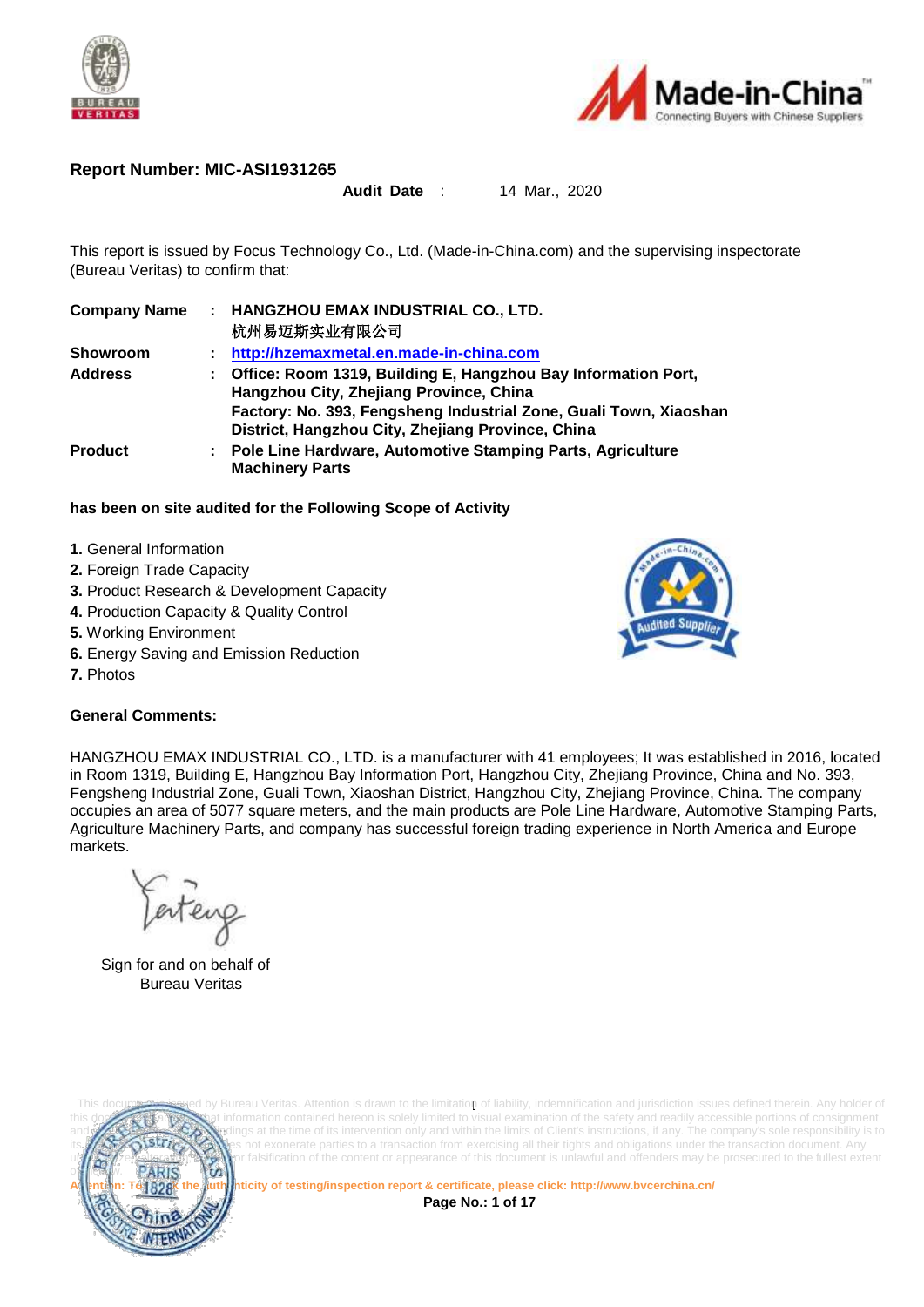



#### **Report Number: MIC-ASI1931265**

#### **Audit Date** : 14 Mar., 2020

This report is issued by Focus Technology Co., Ltd. (Made-in-China.com) and the supervising inspectorate (Bureau Veritas) to confirm that:

| <b>Company Name</b> | : HANGZHOU EMAX INDUSTRIAL CO., LTD.<br>杭州易迈斯实业有限公司                                                                                                                                                                                |
|---------------------|------------------------------------------------------------------------------------------------------------------------------------------------------------------------------------------------------------------------------------|
|                     |                                                                                                                                                                                                                                    |
| <b>Showroom</b>     | http://hzemaxmetal.en.made-in-china.com                                                                                                                                                                                            |
| <b>Address</b>      | Office: Room 1319, Building E, Hangzhou Bay Information Port,<br>Hangzhou City, Zhejiang Province, China<br>Factory: No. 393, Fengsheng Industrial Zone, Guali Town, Xiaoshan<br>District, Hangzhou City, Zhejiang Province, China |
| <b>Product</b>      | <b>Pole Line Hardware, Automotive Stamping Parts, Agriculture</b><br>÷.<br><b>Machinery Parts</b>                                                                                                                                  |

#### **has been on site audited for the Following Scope of Activity**

- **1.** General Information
- **2.** Foreign Trade Capacity
- **3.** Product Research & Development Capacity
- **4.** Production Capacity & Quality Control
- **5.** Working Environment
- **6.** Energy Saving and Emission Reduction
- **7.** Photos



#### **General Comments:**

HANGZHOU EMAX INDUSTRIAL CO., LTD. is a manufacturer with 41 employees; It was established in 2016, located in Room 1319, Building E, Hangzhou Bay Information Port, Hangzhou City, Zhejiang Province, China and No. 393, Fengsheng Industrial Zone, Guali Town, Xiaoshan District, Hangzhou City, Zhejiang Province, China. The company occupies an area of 5077 square meters, and the main products are Pole Line Hardware, Automotive Stamping Parts, Agriculture Machinery Parts, and company has successful foreign trading experience in North America and Europe markets.

enterg

Sign for and on behalf of Bureau Veritas



This documestissued by Bureau Veritas. Attention is drawn to the limitation of liability, indemnification and jurisdiction issues defined therein. Any holder of it information contained hereon is solely limited to visual examination of the safety and readily accessible portions of consignment dings at the time of its intervention only and within the limits of Client's instructions, if any. The company's sole responsibility is to not exonerate parties to a transaction from exercising all their tights and obligations under the transaction document. Any or falsification of the content or appearance of this document is unlawful and offenders may be prosecuted to the fullest extent

**Attention: To check the authenticity of testing/inspection report & certificate, please click[: http://www.bvcerchina.cn/](http://www.bvcerchina.cn/)**

**Page No.: 1 of 17**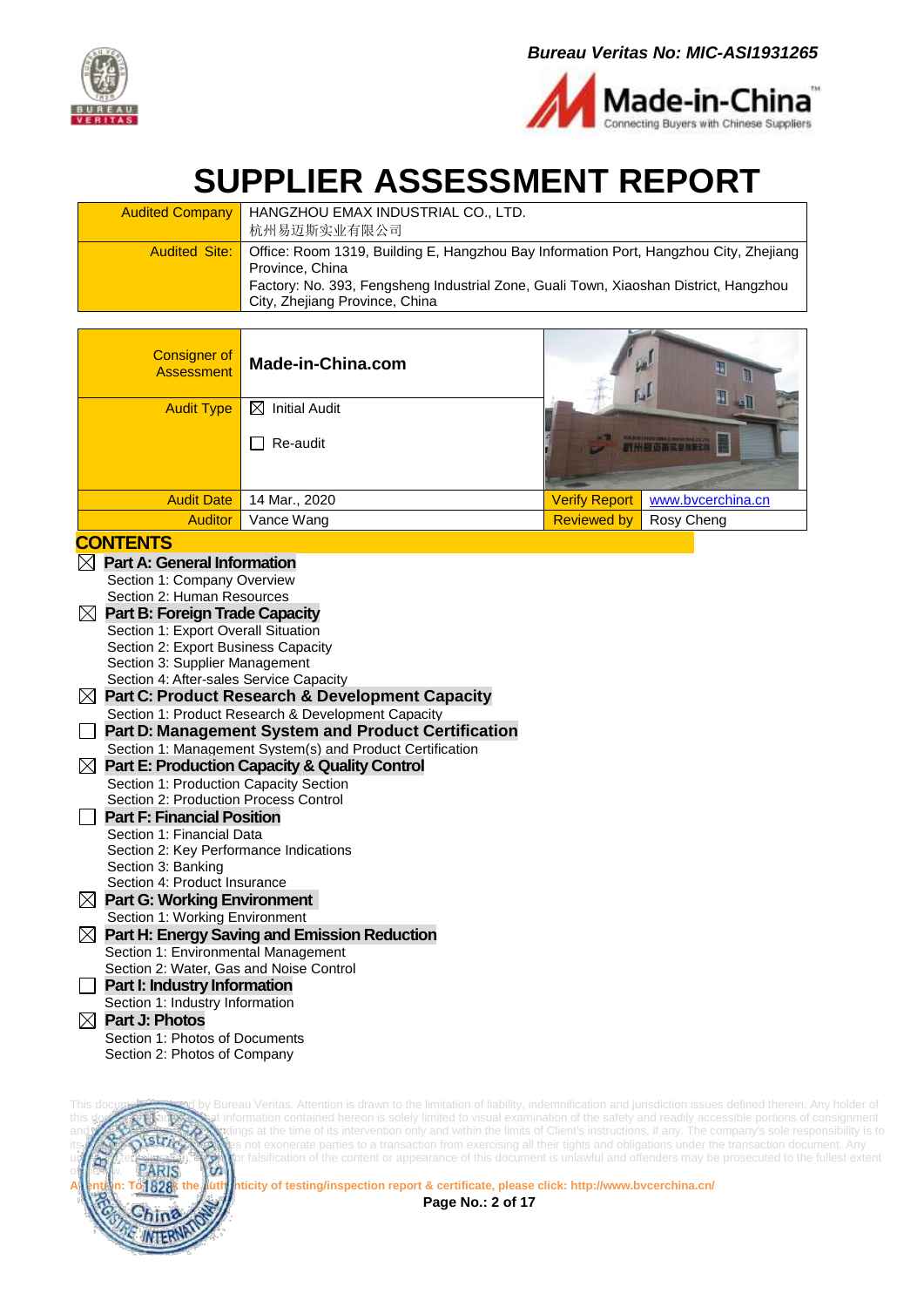



# **SUPPLIER ASSESSMENT REPORT**

| <b>Audited Company   HANGZHOU EMAX INDUSTRIAL CO., LTD.</b><br>杭州易迈斯实业有限公司                                               |
|--------------------------------------------------------------------------------------------------------------------------|
| Audited Site:   Office: Room 1319, Building E, Hangzhou Bay Information Port, Hangzhou City, Zhejiang<br>Province, China |
| Factory: No. 393, Fengsheng Industrial Zone, Guali Town, Xiaoshan District, Hangzhou<br>City, Zhejiang Province, China   |

| <b>Consigner of</b><br><b>Assessment</b> | Made-in-China.com                       |                      | IJ<br>Ⅱ<br>Įμ                                      |
|------------------------------------------|-----------------------------------------|----------------------|----------------------------------------------------|
| <b>Audit Type</b>                        | <b>Initial Audit</b><br>⊠               |                      |                                                    |
|                                          | Re-audit<br>$\mathcal{L}_{\mathcal{A}}$ |                      | <b>INTERNATIONAL PROPERTY OF PERSONAL PROPERTY</b> |
| <b>Audit Date</b>                        | 14 Mar., 2020                           | <b>Verify Report</b> | www.bvcerchina.cn                                  |
| <b>Auditor</b>                           | Vance Wang                              | <b>Reviewed by</b>   | Rosy Cheng                                         |

#### **CONTENTS**

| $\boxtimes$ | <b>Part A: General Information</b>                         |
|-------------|------------------------------------------------------------|
|             | Section 1: Company Overview                                |
|             | Section 2: Human Resources                                 |
|             | <b>Part B: Foreign Trade Capacity</b>                      |
|             | Section 1: Export Overall Situation                        |
|             | Section 2: Export Business Capacity                        |
|             | Section 3: Supplier Management                             |
|             | Section 4: After-sales Service Capacity                    |
| $\boxtimes$ | <b>Part C: Product Research &amp; Development Capacity</b> |
|             | Section 1: Product Research & Development Capacity         |
|             | Part D: Management System and Product Certification        |
|             | Section 1: Management System(s) and Product Certification  |
| ⊠           | <b>Part E: Production Capacity &amp; Quality Control</b>   |
|             | Section 1: Production Capacity Section                     |
|             | Section 2: Production Process Control                      |
|             | <b>Part F: Financial Position</b>                          |
|             | Section 1: Financial Data                                  |
|             | Section 2: Key Performance Indications                     |
|             | Section 3: Banking                                         |
|             | Section 4: Product Insurance                               |
|             | $\boxtimes$ Part G: Working Environment                    |
|             | Section 1: Working Environment                             |
| $\boxtimes$ | <b>Part H: Energy Saving and Emission Reduction</b>        |
|             | Section 1: Environmental Management                        |
|             | Section 2: Water, Gas and Noise Control                    |
|             | Part I: Industry Information                               |
|             | Section 1: Industry Information                            |
| M           | <b>Part J: Photos</b>                                      |
|             | Section 1: Photos of Documents                             |
|             | Section 2: Photos of Company                               |



This document is is in the limitation of liability, indemnification and jurisdiction issues defined therein. Any holder of this document this document is sulled to visual examination of the safety and readily accessible po this document is advised that information contained hereon is solely limited to visual examination of the safety and readily accessible portions of consignment and reflects the time of its intervention only and within the limits of Client's instructions, if any. The company's sole responsibility is to **strictler** the transaction document. Any not exonerate parties to a transaction from exercising all their tights and obligations under the transaction document. Any unaution,  $\binom{5}{10}$  or falsification of the content or appearance of this document is unlawful and offenders may be prosecuted to the fullest extent  $\overline{\text{PARIS}}$ 

**Page No.: 2 of 17**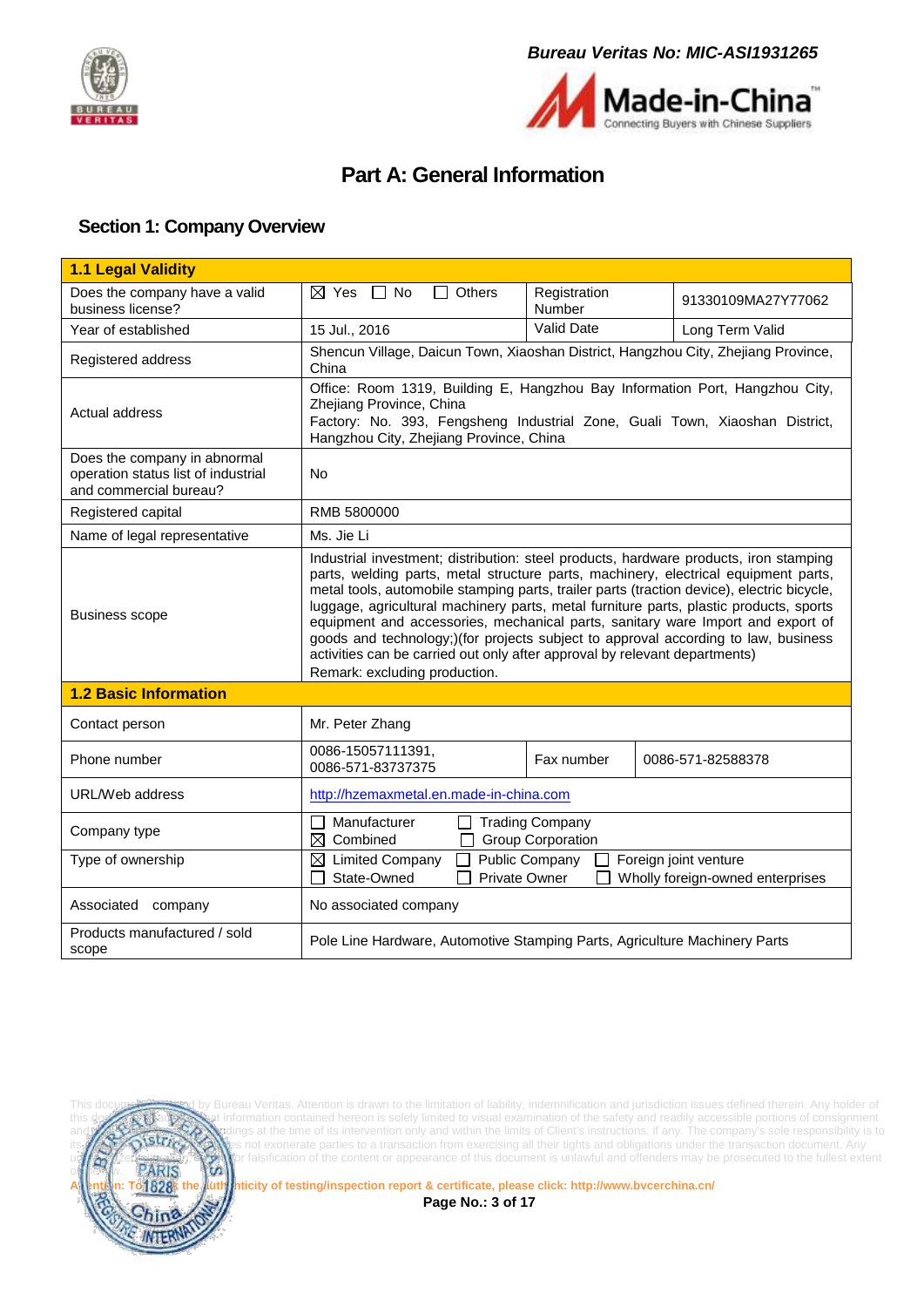



## **Part A: General Information**

#### <span id="page-2-1"></span><span id="page-2-0"></span>**Section 1: Company Overview**

| 1.1 Legal Validity                                                                            |                                                                                                                                                                                                                                                                                                                                                                                                                                                                                                                                                                                                                                                              |                        |                    |  |
|-----------------------------------------------------------------------------------------------|--------------------------------------------------------------------------------------------------------------------------------------------------------------------------------------------------------------------------------------------------------------------------------------------------------------------------------------------------------------------------------------------------------------------------------------------------------------------------------------------------------------------------------------------------------------------------------------------------------------------------------------------------------------|------------------------|--------------------|--|
| Does the company have a valid<br>business license?                                            | $\Box$ Others<br>$\boxtimes$ Yes $\Box$ No                                                                                                                                                                                                                                                                                                                                                                                                                                                                                                                                                                                                                   | Registration<br>Number | 91330109MA27Y77062 |  |
| Year of established                                                                           | 15 Jul., 2016                                                                                                                                                                                                                                                                                                                                                                                                                                                                                                                                                                                                                                                | Valid Date             | Long Term Valid    |  |
| Registered address                                                                            | Shencun Village, Daicun Town, Xiaoshan District, Hangzhou City, Zhejiang Province,<br>China                                                                                                                                                                                                                                                                                                                                                                                                                                                                                                                                                                  |                        |                    |  |
| Actual address                                                                                | Office: Room 1319, Building E, Hangzhou Bay Information Port, Hangzhou City,<br>Zhejiang Province, China<br>Factory: No. 393, Fengsheng Industrial Zone, Guali Town, Xiaoshan District,<br>Hangzhou City, Zhejiang Province, China                                                                                                                                                                                                                                                                                                                                                                                                                           |                        |                    |  |
| Does the company in abnormal<br>operation status list of industrial<br>and commercial bureau? | No                                                                                                                                                                                                                                                                                                                                                                                                                                                                                                                                                                                                                                                           |                        |                    |  |
| Registered capital                                                                            | RMB 5800000                                                                                                                                                                                                                                                                                                                                                                                                                                                                                                                                                                                                                                                  |                        |                    |  |
| Name of legal representative                                                                  | Ms. Jie Li                                                                                                                                                                                                                                                                                                                                                                                                                                                                                                                                                                                                                                                   |                        |                    |  |
| <b>Business scope</b>                                                                         | Industrial investment; distribution: steel products, hardware products, iron stamping<br>parts, welding parts, metal structure parts, machinery, electrical equipment parts,<br>metal tools, automobile stamping parts, trailer parts (traction device), electric bicycle,<br>luggage, agricultural machinery parts, metal furniture parts, plastic products, sports<br>equipment and accessories, mechanical parts, sanitary ware Import and export of<br>goods and technology;)(for projects subject to approval according to law, business<br>activities can be carried out only after approval by relevant departments)<br>Remark: excluding production. |                        |                    |  |
| <b>1.2 Basic Information</b>                                                                  |                                                                                                                                                                                                                                                                                                                                                                                                                                                                                                                                                                                                                                                              |                        |                    |  |
| Contact person                                                                                | Mr. Peter Zhang                                                                                                                                                                                                                                                                                                                                                                                                                                                                                                                                                                                                                                              |                        |                    |  |
| Phone number                                                                                  | 0086-15057111391,<br>0086-571-83737375                                                                                                                                                                                                                                                                                                                                                                                                                                                                                                                                                                                                                       | Fax number             | 0086-571-82588378  |  |
| URL/Web address                                                                               | http://hzemaxmetal.en.made-in-china.com                                                                                                                                                                                                                                                                                                                                                                                                                                                                                                                                                                                                                      |                        |                    |  |
| Company type                                                                                  | Manufacturer<br>$\Box$ Trading Company<br>$\mathsf{L}$<br>$\boxtimes$ Combined<br><b>Group Corporation</b>                                                                                                                                                                                                                                                                                                                                                                                                                                                                                                                                                   |                        |                    |  |
| Type of ownership                                                                             | Public Company<br>Foreign joint venture<br>$\boxtimes$ Limited Company<br>State-Owned<br><b>Private Owner</b><br>Wholly foreign-owned enterprises                                                                                                                                                                                                                                                                                                                                                                                                                                                                                                            |                        |                    |  |
| Associated<br>company                                                                         | No associated company                                                                                                                                                                                                                                                                                                                                                                                                                                                                                                                                                                                                                                        |                        |                    |  |
| Products manufactured / sold<br>scope                                                         | Pole Line Hardware, Automotive Stamping Parts, Agriculture Machinery Parts                                                                                                                                                                                                                                                                                                                                                                                                                                                                                                                                                                                   |                        |                    |  |



This document issues defined the Bureau Veritas. Attention is drawn to the limitation of liability, indemnification and jurisdiction issues defined therein. Any holder of this documents information contained hereon is solely limited to visual examination of the safety and readily accessible portions of consignment and **reflects the Company's sole responsibility is to** and the time of its intervention only and within the limits of Client's instructions, if any. The company's sole responsibility is to its **LAV AND STUGAN** es not exonerate parties to a transaction from exercising all their tights and obligations under the transaction document. Any und a straight the stration, the vior falsification of the content or appearance of this document is unlawful and offenders may be prosecuted to the fullest extent

**Attention: To check the authenticity of testing/inspection report & certificate, please click[: http://www.bvcerchina.cn/](http://www.bvcerchina.cn/)**

**Page No.: 3 of 17**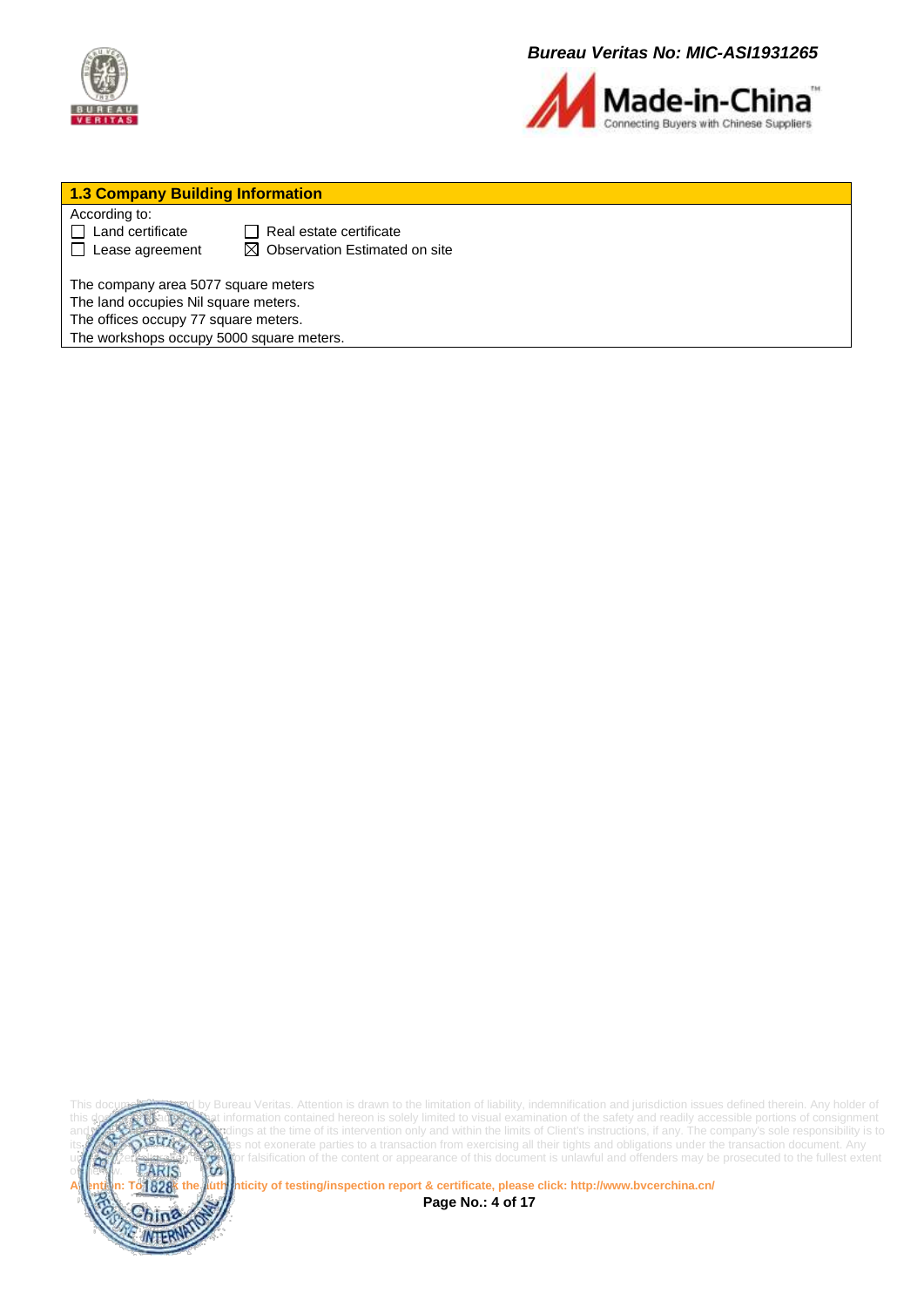



#### **1.3 Company Building Information**

According to:

 $\Box$  Land certificate  $\Box$  Real estate certificate  $\Box$  Lease agreement  $\Box$  Observation Estimated on site

The company area 5077 square meters

The land occupies Nil square meters.

The offices occupy 77 square meters.

The workshops occupy 5000 square meters.



This document is used by Bureau Veritas. Attention is drawn to the limitation of liability, indemnification and jurisdiction issues defined therein. Any holder of this document is advised that information contained hereon is solely limited to visual examination of the safety and readily accessible portions of consignment and reflects the time of its intervention only and within the limits of Client's instructions, if any. The company's sole responsibility is to **strick the company**'s sole responsibility is to **strick the structure** of the not exonerate parties to a transaction from exercising all their tights and obligations under the transaction document. Any unauthorized alteration of the content or appearance of this document is unlawful and offenders may be prosecuted to the fullest extent<br>PARIS

**Attention: To check the authenticity of testing/inspection report & certificate, please click[: http://www.bvcerchina.cn/](http://www.bvcerchina.cn/) Page No.: 4 of 17**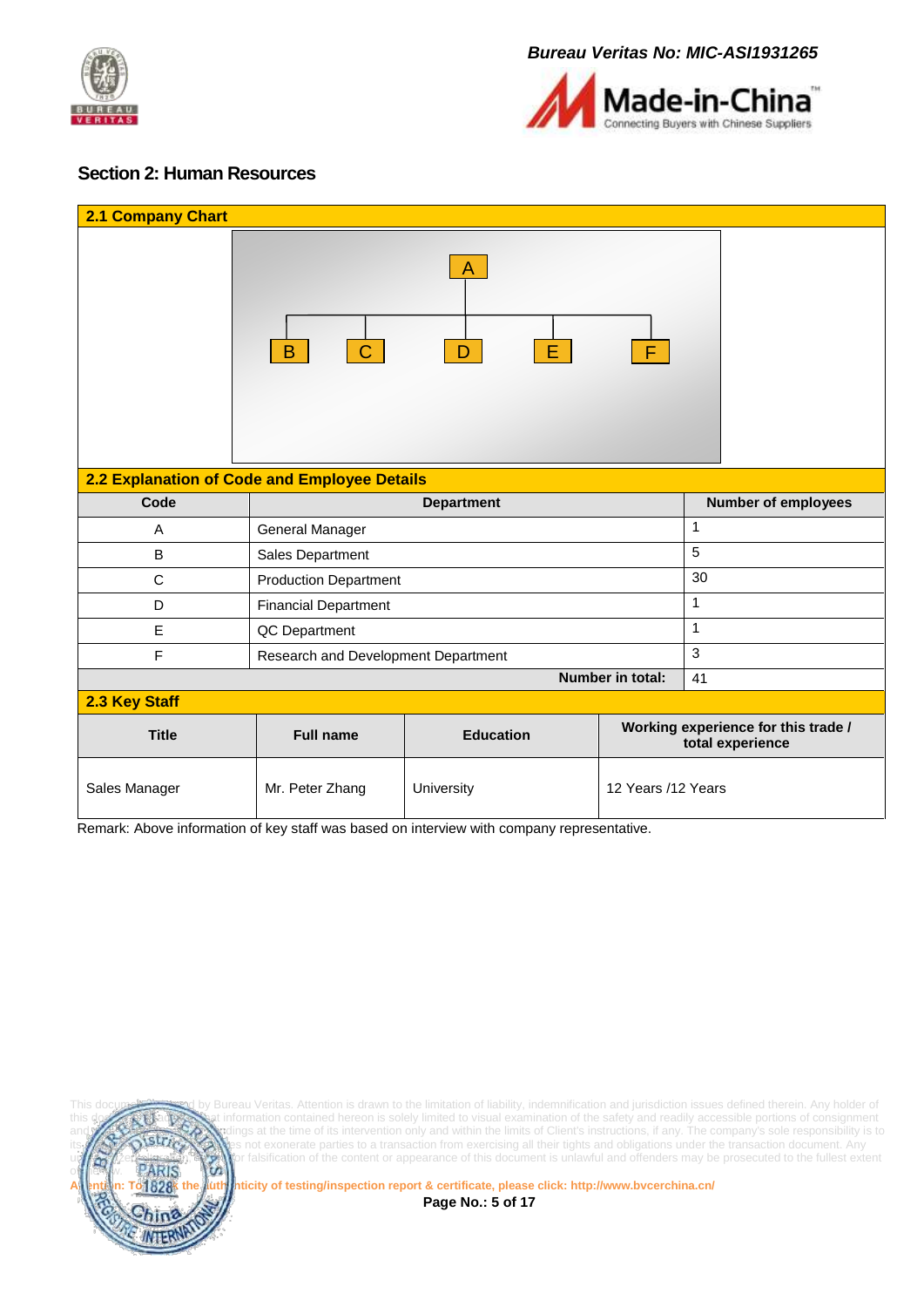



#### <span id="page-4-0"></span>**Section 2: Human Resources**

| <b>2.1 Company Chart</b>                     |                                             |                         |                    |                                                         |  |
|----------------------------------------------|---------------------------------------------|-------------------------|--------------------|---------------------------------------------------------|--|
|                                              | $\mid$ C $\mid$<br>B                        | A<br>Е.<br>$\mathsf{D}$ | F                  |                                                         |  |
| 2.2 Explanation of Code and Employee Details |                                             |                         |                    |                                                         |  |
| Code                                         |                                             | <b>Department</b>       |                    | <b>Number of employees</b>                              |  |
| A                                            | General Manager                             |                         |                    | 1                                                       |  |
| B                                            | 5<br>Sales Department                       |                         |                    |                                                         |  |
| $\mathsf{C}$                                 | 30<br><b>Production Department</b>          |                         |                    |                                                         |  |
| D                                            | $\mathbf{1}$<br><b>Financial Department</b> |                         |                    |                                                         |  |
| E                                            | $\mathbf{1}$<br>QC Department               |                         |                    |                                                         |  |
| F                                            | 3<br>Research and Development Department    |                         |                    |                                                         |  |
|                                              |                                             |                         | Number in total:   | 41                                                      |  |
| 2.3 Key Staff                                |                                             |                         |                    |                                                         |  |
| <b>Title</b>                                 | <b>Full name</b>                            | <b>Education</b>        |                    | Working experience for this trade /<br>total experience |  |
| Sales Manager                                | Mr. Peter Zhang                             | University              | 12 Years /12 Years |                                                         |  |

Remark: Above information of key staff was based on interview with company representative.



Bureau Veritas. Attention is drawn to the limitation of liability, indemnification and jurisdiction issues defined therein. Any holder of this document is advised that information contained hereon is solely limited to visual examination of the safety and readily accessible portions of consignment lings at the time of its intervention only and within the limits of Client's instructions, if any. The company's sole responsibility is to its **LAV AND STUGAN** es not exonerate parties to a transaction from exercising all their tights and obligations under the transaction document. Any und a straight the stration, the vior falsification of the content or appearance of this document is unlawful and offenders may be prosecuted to the fullest extent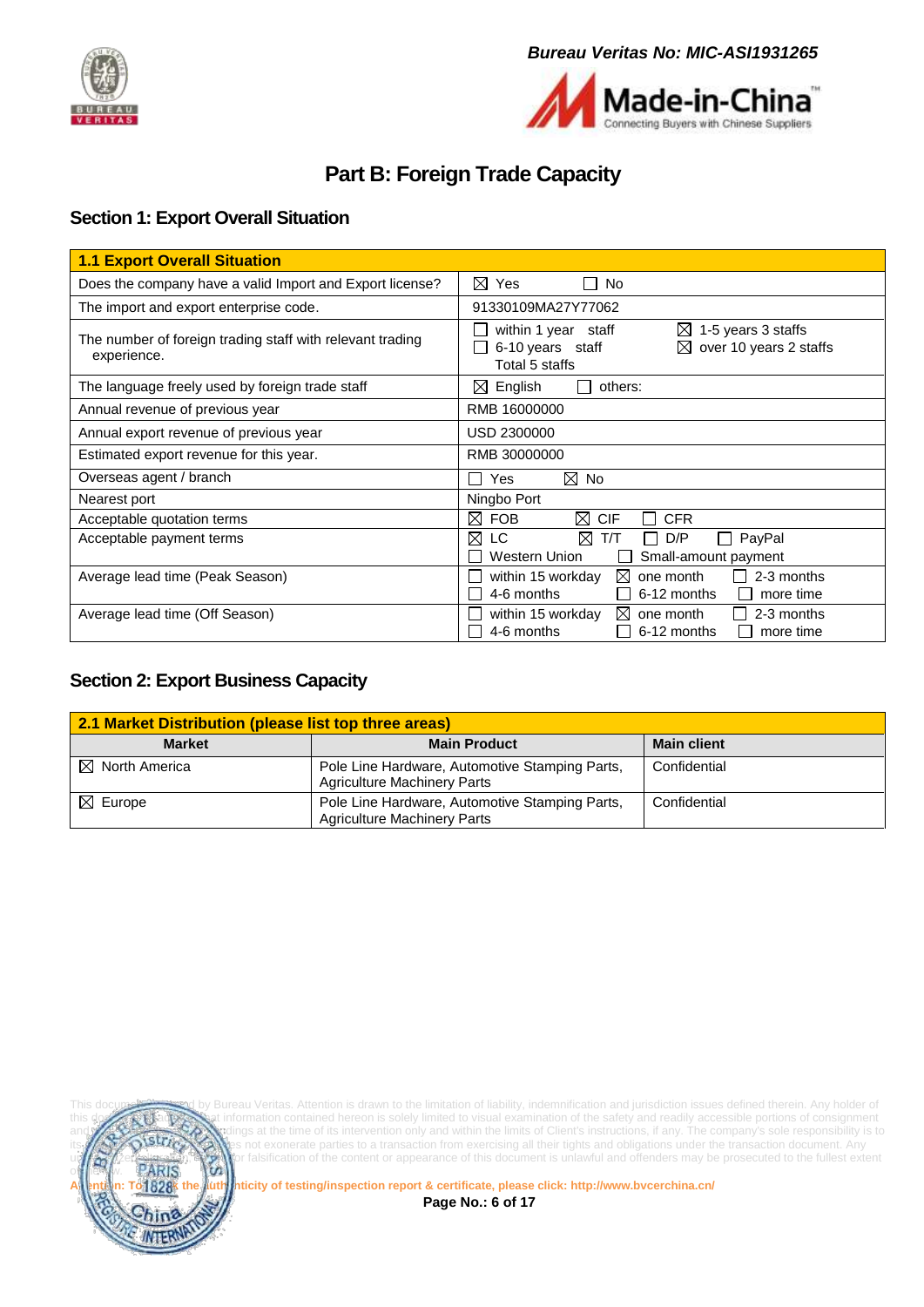



# **Part B: Foreign Trade Capacity**

### <span id="page-5-1"></span><span id="page-5-0"></span>**Section 1: Export Overall Situation**

| <b>1.1 Export Overall Situation</b>                                      |                                                                                                                             |
|--------------------------------------------------------------------------|-----------------------------------------------------------------------------------------------------------------------------|
| Does the company have a valid Import and Export license?                 | ⊠<br>Yes<br>No.                                                                                                             |
| The import and export enterprise code.                                   | 91330109MA27Y77062                                                                                                          |
| The number of foreign trading staff with relevant trading<br>experience. | within 1 year staff<br>1-5 years 3 staffs<br>$\bowtie$<br>6-10 years staff<br>over 10 years 2 staffs<br>⊠<br>Total 5 staffs |
| The language freely used by foreign trade staff                          | $\boxtimes$ English<br>others:<br>$\mathbf{L}$                                                                              |
| Annual revenue of previous year                                          | RMB 16000000                                                                                                                |
| Annual export revenue of previous year                                   | USD 2300000                                                                                                                 |
| Estimated export revenue for this year.                                  | RMB 30000000                                                                                                                |
| Overseas agent / branch                                                  | ⊠<br>No<br>Yes                                                                                                              |
| Nearest port                                                             | Ningbo Port                                                                                                                 |
| Acceptable quotation terms                                               | ⊠<br>⊠<br><b>FOB</b><br><b>CIF</b><br><b>CFR</b>                                                                            |
| Acceptable payment terms                                                 | ⊠<br>⊠<br>LC.<br>T/T<br>D/P<br>PayPal<br>$\mathbf{I}$<br>Western Union<br>Small-amount payment                              |
| Average lead time (Peak Season)                                          | ⊠<br>2-3 months<br>within 15 workday<br>one month<br>4-6 months<br>6-12 months<br>more time                                 |
| Average lead time (Off Season)                                           | within 15 workday<br>2-3 months<br>$\bowtie$<br>one month<br>4-6 months<br>6-12 months<br>more time                         |

#### <span id="page-5-2"></span>**Section 2: Export Business Capacity**

| 2.1 Market Distribution (please list top three areas) |                                                                                      |                    |  |  |
|-------------------------------------------------------|--------------------------------------------------------------------------------------|--------------------|--|--|
| <b>Market</b>                                         | <b>Main Product</b>                                                                  | <b>Main client</b> |  |  |
| $\boxtimes$ North America                             | Pole Line Hardware, Automotive Stamping Parts,<br><b>Agriculture Machinery Parts</b> | Confidential       |  |  |
| $\boxtimes$ Europe                                    | Pole Line Hardware, Automotive Stamping Parts,<br><b>Agriculture Machinery Parts</b> | Confidential       |  |  |



Bureau Veritas. Attention is drawn to the limitation of liability, indemnification and jurisdiction issues defined therein. Any holder of this document is advised that information contained hereon is solely limited to visual examination of the safety and readily accessible portions of consignment lings at the time of its intervention only and within the limits of Client's instructions, if any. The company's sole responsibility is to not exonerate parties to a transaction from exercising all their tights and obligations under the transaction document. Any elteration,  $\sum$  or falsification of the content or appearance of this document is unlawful and offenders may be prosecuted to the fullest extent<br>PARIS

**Attention: To check the authenticity of testing/inspection report & certificate, please click[: http://www.bvcerchina.cn/](http://www.bvcerchina.cn/)**

**Page No.: 6 of 17**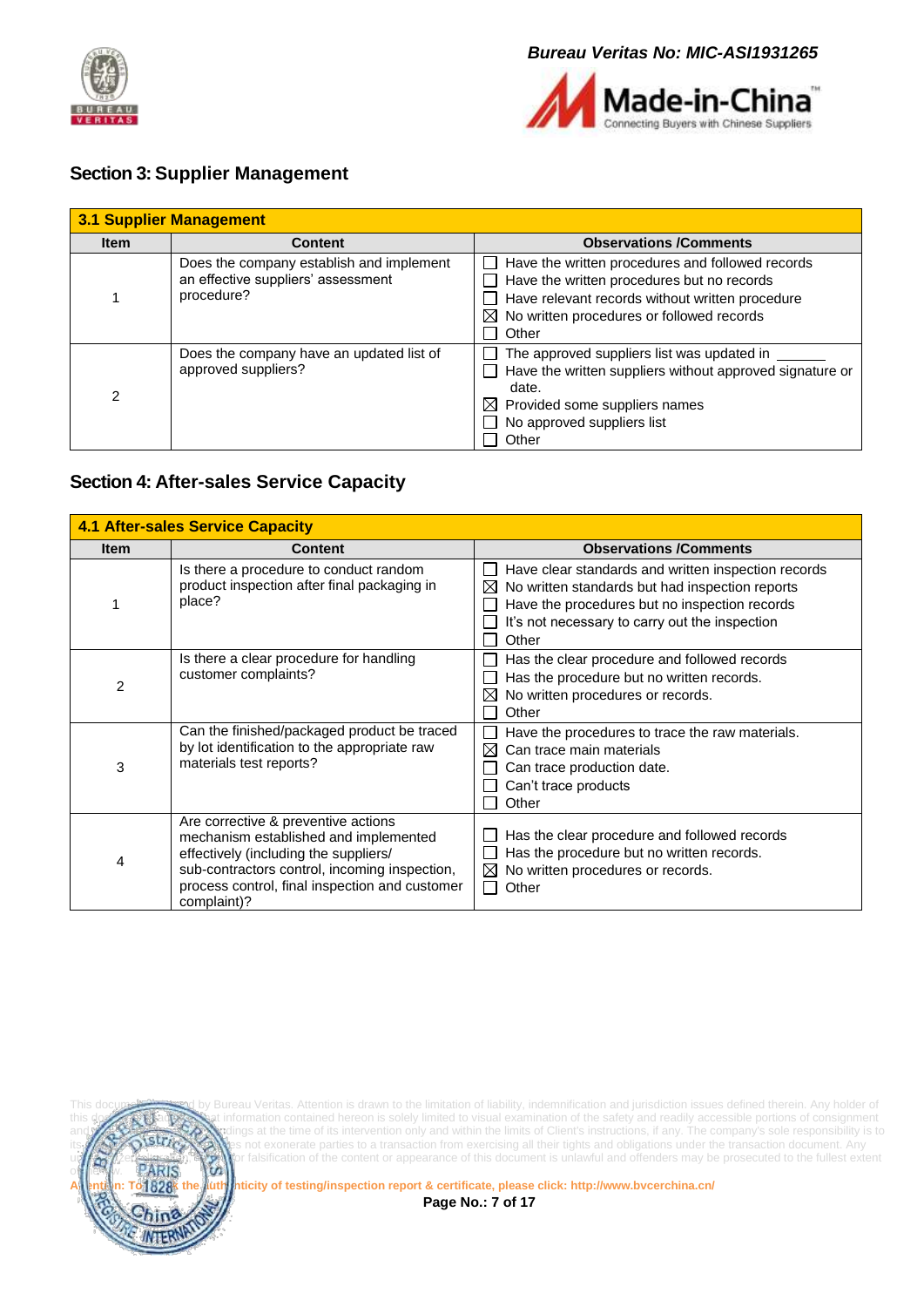



#### <span id="page-6-0"></span>**Section 3: Supplier Management**

| <b>3.1 Supplier Management</b> |                                                                                              |                                                                                                                                                                                                                     |  |  |  |
|--------------------------------|----------------------------------------------------------------------------------------------|---------------------------------------------------------------------------------------------------------------------------------------------------------------------------------------------------------------------|--|--|--|
| <b>Item</b>                    | <b>Content</b>                                                                               | <b>Observations /Comments</b>                                                                                                                                                                                       |  |  |  |
|                                | Does the company establish and implement<br>an effective suppliers' assessment<br>procedure? | Have the written procedures and followed records<br>Have the written procedures but no records<br>Have relevant records without written procedure<br>$\boxtimes$ No written procedures or followed records<br>Other |  |  |  |
| $\overline{2}$                 | Does the company have an updated list of<br>approved suppliers?                              | The approved suppliers list was updated in<br>Have the written suppliers without approved signature or<br>date.<br>$\boxtimes$ Provided some suppliers names<br>$\Box$ No approved suppliers list<br>Other          |  |  |  |

#### <span id="page-6-1"></span>**Section 4: After-sales Service Capacity**

| <b>4.1 After-sales Service Capacity</b> |                                                                                                                                                                                                                                         |                                                                                                                                                                                                                                                 |  |  |  |
|-----------------------------------------|-----------------------------------------------------------------------------------------------------------------------------------------------------------------------------------------------------------------------------------------|-------------------------------------------------------------------------------------------------------------------------------------------------------------------------------------------------------------------------------------------------|--|--|--|
| <b>Item</b>                             | <b>Content</b>                                                                                                                                                                                                                          | <b>Observations /Comments</b>                                                                                                                                                                                                                   |  |  |  |
|                                         | Is there a procedure to conduct random<br>product inspection after final packaging in<br>place?                                                                                                                                         | Have clear standards and written inspection records<br>$\mathbf{I}$<br>No written standards but had inspection reports<br>$\bowtie$<br>Have the procedures but no inspection records<br>It's not necessary to carry out the inspection<br>Other |  |  |  |
| 2                                       | Is there a clear procedure for handling<br>customer complaints?                                                                                                                                                                         | Has the clear procedure and followed records<br>Has the procedure but no written records.<br>No written procedures or records.<br>Other                                                                                                         |  |  |  |
| 3                                       | Can the finished/packaged product be traced<br>by lot identification to the appropriate raw<br>materials test reports?                                                                                                                  | Have the procedures to trace the raw materials.<br>⊠<br>Can trace main materials<br>Can trace production date.<br>Can't trace products<br>Other                                                                                                 |  |  |  |
| 4                                       | Are corrective & preventive actions<br>mechanism established and implemented<br>effectively (including the suppliers/<br>sub-contractors control, incoming inspection,<br>process control, final inspection and customer<br>complaint)? | Has the clear procedure and followed records<br>Has the procedure but no written records.<br>No written procedures or records.<br>⊠<br>$\mathsf{L}$<br>Other                                                                                    |  |  |  |



This document issued by Bureau Veritas. Attention is drawn to the limitation of liability, indemnification and jurisdiction issues defined therein. Any holder of this documents information contained hereon is solely limited to visual examination of the safety and readily accessible portions of consignment and **reflects the Company's sole responsibility is to** and the time of its intervention only and within the limits of Client's instructions, if any. The company's sole responsibility is to istrice Client and this document and this document and their tights and obligations under the transaction document. Any unauthorized alteration of the content or appearance of this document is unlawful and offenders may be prosecuted to the fullest extent<br>PARIS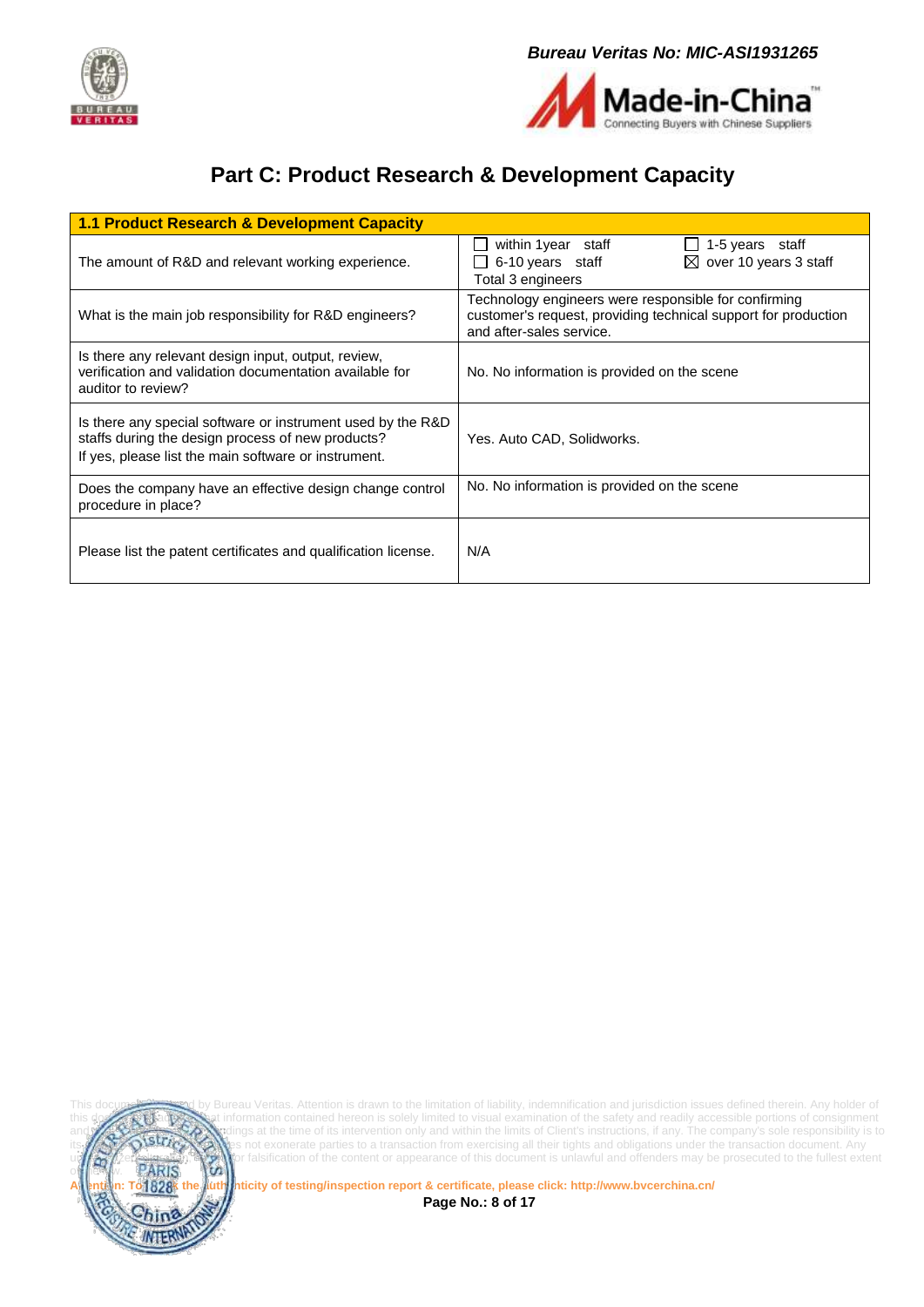



# **Part C: Product Research & Development Capacity**

<span id="page-7-0"></span>

| 1.1 Product Research & Development Capacity                                                                                                                                                                  |                                                                                                                      |  |  |  |  |
|--------------------------------------------------------------------------------------------------------------------------------------------------------------------------------------------------------------|----------------------------------------------------------------------------------------------------------------------|--|--|--|--|
| The amount of R&D and relevant working experience.                                                                                                                                                           | within 1 year staff<br>1-5 years staff<br>$\boxtimes$ over 10 years 3 staff<br>6-10 years staff<br>Total 3 engineers |  |  |  |  |
| Technology engineers were responsible for confirming<br>customer's request, providing technical support for production<br>What is the main job responsibility for R&D engineers?<br>and after-sales service. |                                                                                                                      |  |  |  |  |
| Is there any relevant design input, output, review,<br>verification and validation documentation available for<br>auditor to review?                                                                         | No. No information is provided on the scene                                                                          |  |  |  |  |
| Is there any special software or instrument used by the R&D<br>staffs during the design process of new products?<br>If yes, please list the main software or instrument.                                     | Yes. Auto CAD, Solidworks.                                                                                           |  |  |  |  |
| Does the company have an effective design change control<br>procedure in place?                                                                                                                              | No. No information is provided on the scene                                                                          |  |  |  |  |
| Please list the patent certificates and qualification license.                                                                                                                                               | N/A                                                                                                                  |  |  |  |  |



This document issued by Bureau Veritas. Attention is drawn to the limitation of liability, indemnification and jurisdiction issues defined therein. Any holder of this documents information contained hereon is solely limited to visual examination of the safety and readily accessible portions of consignment and **reflects the Company's sole responsibility is to** and the time of its intervention only and within the limits of Client's instructions, if any. The company's sole responsibility is to istrice Client and this document and this document with the main the main of curricular material constant the transaction document. Any unauthorized alteration of the content or appearance of this document is unlawful and offenders may be prosecuted to the fullest extent<br>PARIS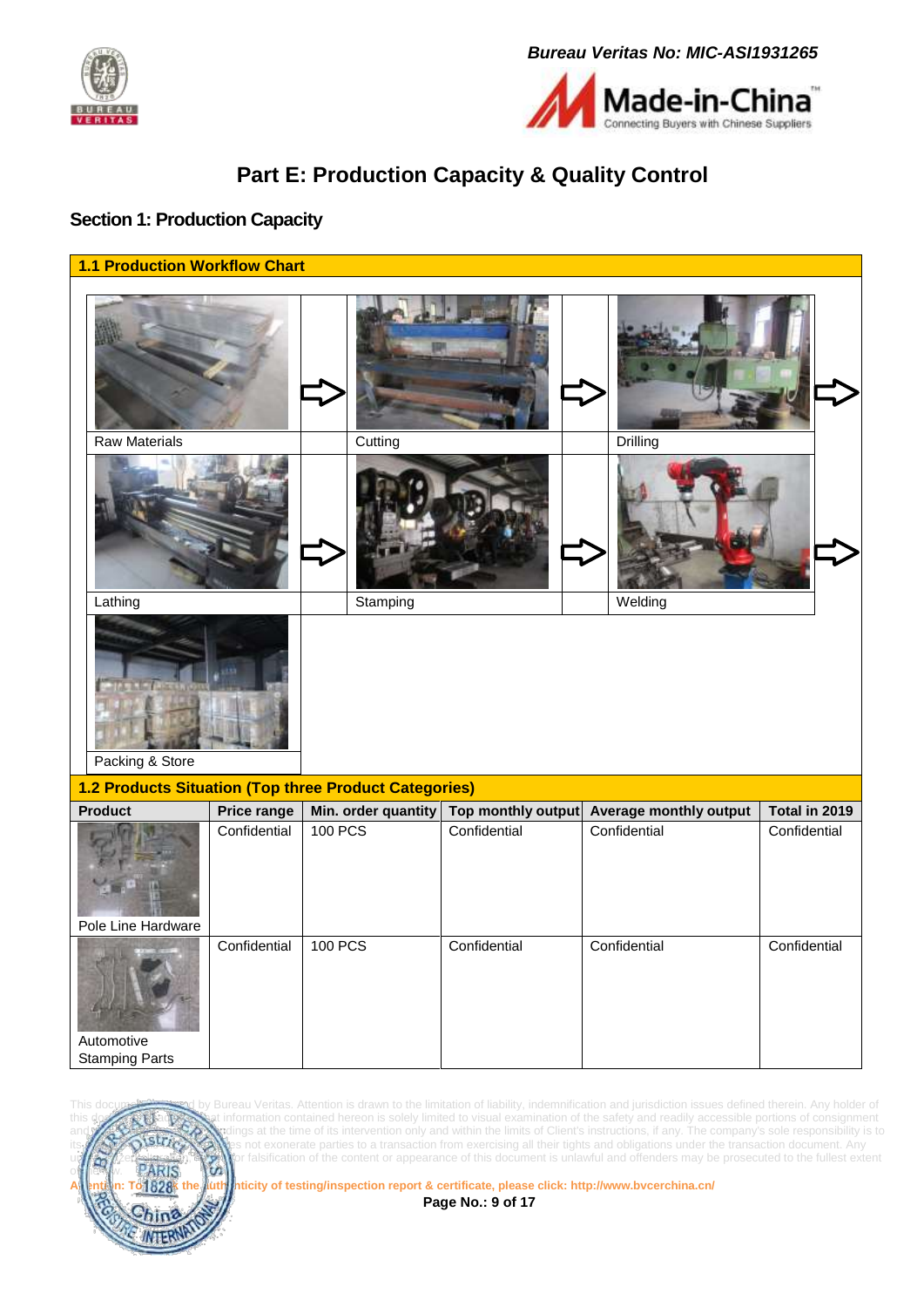



# **Part E: Production Capacity & Quality Control**

#### <span id="page-8-1"></span><span id="page-8-0"></span>**Section 1: Production Capacity**

| <b>1.1 Production Workflow Chart</b>   |              |                                                       |                    |                               |               |
|----------------------------------------|--------------|-------------------------------------------------------|--------------------|-------------------------------|---------------|
|                                        |              |                                                       |                    |                               |               |
| <b>Raw Materials</b>                   |              | Cutting                                               |                    | Drilling                      |               |
| Lathing<br>Stamping<br>Packing & Store |              |                                                       |                    | Welding                       |               |
|                                        |              | 1.2 Products Situation (Top three Product Categories) |                    |                               |               |
| Product                                | Price range  | Min. order quantity                                   | Top monthly output | <b>Average monthly output</b> | Total in 2019 |
| Pole Line Hardware                     | Confidential | <b>100 PCS</b>                                        | Confidential       | Confidential                  | Confidential  |
| Automotive<br><b>Stamping Parts</b>    | Confidential | <b>100 PCS</b>                                        | Confidential       | Confidential                  | Confidential  |



Bureau Veritas. Attention is drawn to the limitation of liability, indemnification and jurisdiction issues defined therein. Any holder of this document is advised that information contained hereon is solely limited to visual examination of the safety and readily accessible portions of consignment and reflects the Company's sole responsibility is to strain and within the limits of Client's instructions, if any. The company's sole responsibility is to **strain and within the limits of Client's** instructions, if any. T not exonerate parties to a transaction from exercising all their tights and obligations under the transaction document. Any unauthorized alteration of the content or appearance of this document is unlawful and offenders may be prosecuted to the fullest extent<br>**PARIS** 

**Attention: To check the authenticity of testing/inspection report & certificate, please click[: http://www.bvcerchina.cn/](http://www.bvcerchina.cn/)**

**Page No.: 9 of 17**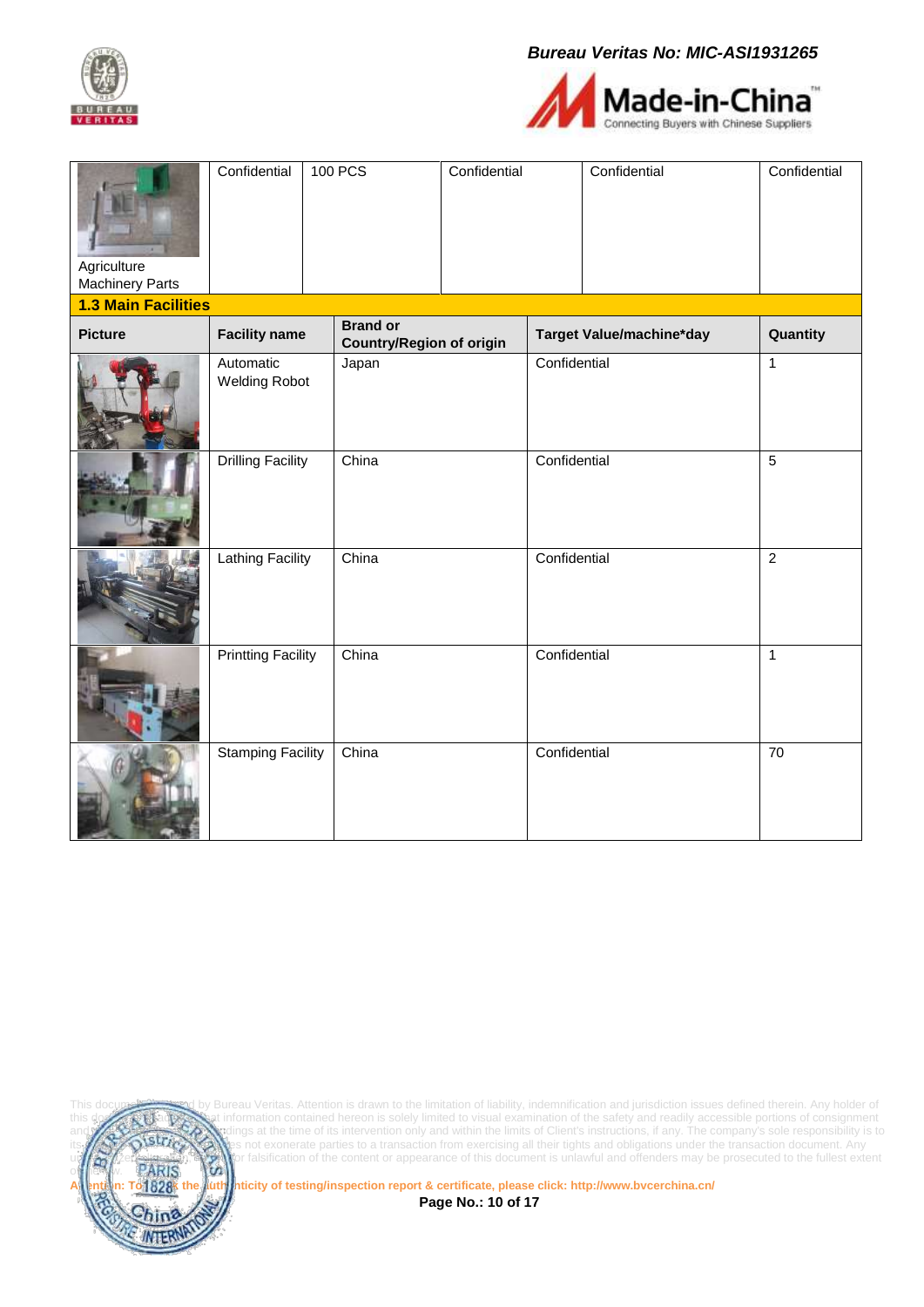



| Agriculture<br><b>Machinery Parts</b> | Confidential                      | <b>100 PCS</b>                                     | Confidential |              | Confidential             | Confidential    |
|---------------------------------------|-----------------------------------|----------------------------------------------------|--------------|--------------|--------------------------|-----------------|
| <b>1.3 Main Facilities</b>            |                                   |                                                    |              |              |                          |                 |
| <b>Picture</b>                        | <b>Facility name</b>              | <b>Brand or</b><br><b>Country/Region of origin</b> |              |              | Target Value/machine*day | Quantity        |
|                                       | Automatic<br><b>Welding Robot</b> | Japan                                              |              | Confidential |                          | $\overline{1}$  |
|                                       | <b>Drilling Facility</b>          | China                                              |              | Confidential |                          | $\overline{5}$  |
|                                       | <b>Lathing Facility</b>           | China                                              |              | Confidential |                          | $\overline{c}$  |
|                                       | <b>Printting Facility</b>         | China                                              |              | Confidential |                          | $\mathbf{1}$    |
|                                       | <b>Stamping Facility</b>          | China                                              |              | Confidential |                          | $\overline{70}$ |



This document is is in the limitation of liability, indemnification and jurisdiction issues defined therein. Any holder of this document this document is sulled to visual examination of the safety and readily accessible po this documents information contained hereon is solely limited to visual examination of the safety and readily accessible portions of consignment and **reflects the Company's sole responsibility is to** and the time of its intervention only and within the limits of Client's instructions, if any. The company's sole responsibility is to its **LAV AND STUGAN** es not exonerate parties to a transaction from exercising all their tights and obligations under the transaction document. Any und a straight the stration, the vior falsification of the content or appearance of this document is unlawful and offenders may be prosecuted to the fullest extent

**1828**<sup>k</sup> the auth inticity of testing/inspection report & certificate, please click[: http://www.bvcerchina.cn/](http://www.bvcerchina.cn/)

**Page No.: 10 of 17**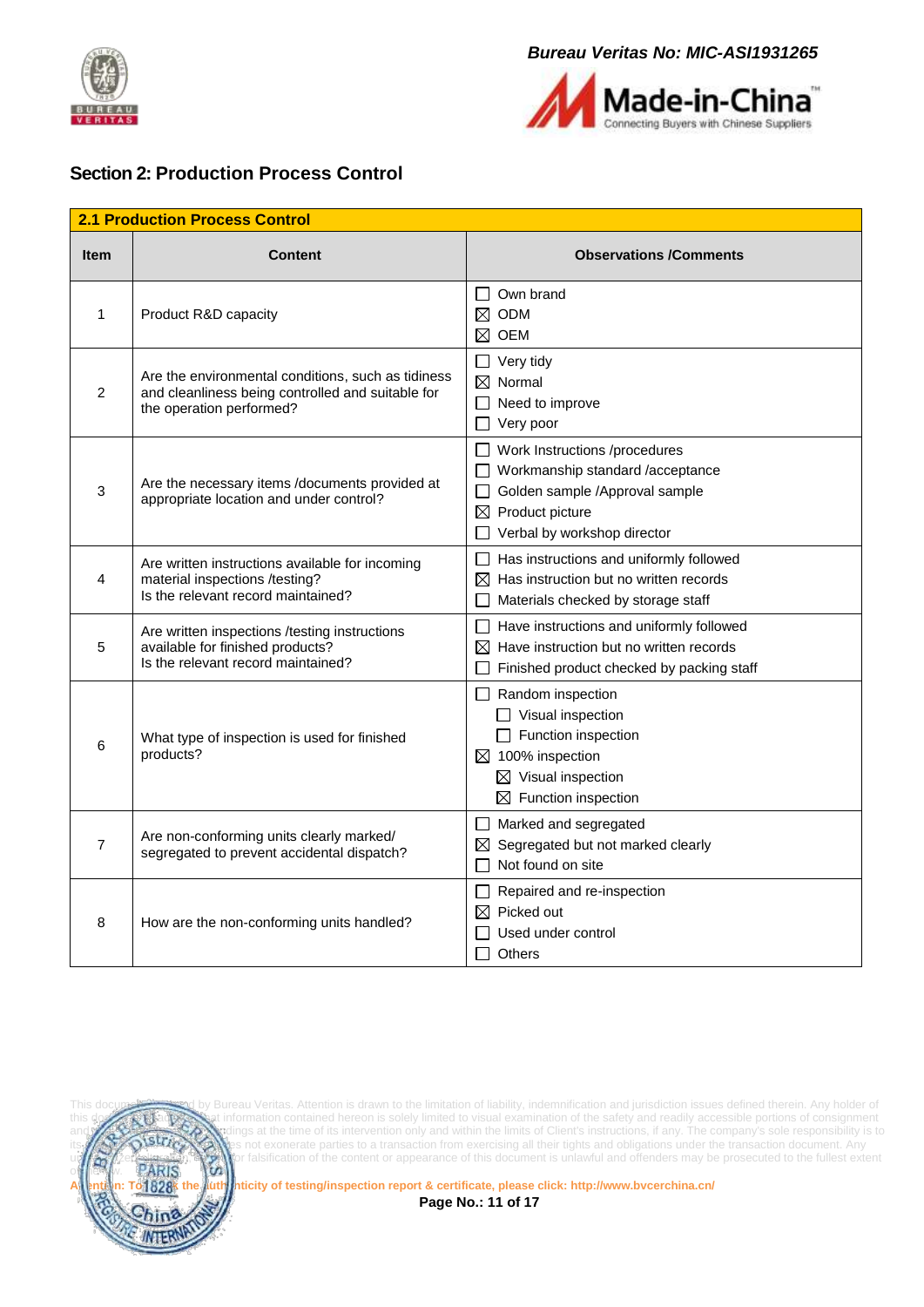



#### <span id="page-10-0"></span>**Section 2: Production Process Control**

| <b>2.1 Production Process Control</b> |                                                                                                                                     |                                                                                                                                                                                       |  |  |
|---------------------------------------|-------------------------------------------------------------------------------------------------------------------------------------|---------------------------------------------------------------------------------------------------------------------------------------------------------------------------------------|--|--|
| <b>Item</b>                           | <b>Content</b>                                                                                                                      | <b>Observations /Comments</b>                                                                                                                                                         |  |  |
| 1                                     | Product R&D capacity                                                                                                                | Own brand<br>$\Box$<br>$\boxtimes$ ODM<br>$\boxtimes$ oem                                                                                                                             |  |  |
| $\overline{2}$                        | Are the environmental conditions, such as tidiness<br>and cleanliness being controlled and suitable for<br>the operation performed? | $\Box$ Very tidy<br>$\boxtimes$ Normal<br>$\Box$ Need to improve<br>$\Box$ Very poor                                                                                                  |  |  |
| 3                                     | Are the necessary items /documents provided at<br>appropriate location and under control?                                           | $\Box$ Work Instructions /procedures<br>Workmanship standard /acceptance<br>Golden sample /Approval sample<br>$\boxtimes$ Product picture<br>Verbal by workshop director              |  |  |
| 4                                     | Are written instructions available for incoming<br>material inspections /testing?<br>Is the relevant record maintained?             | $\Box$ Has instructions and uniformly followed<br>$\boxtimes$ Has instruction but no written records<br>Materials checked by storage staff                                            |  |  |
| 5                                     | Are written inspections /testing instructions<br>available for finished products?<br>Is the relevant record maintained?             | $\Box$ Have instructions and uniformly followed<br>$\boxtimes$ Have instruction but no written records<br>Finished product checked by packing staff                                   |  |  |
| 6                                     | What type of inspection is used for finished<br>products?                                                                           | $\Box$ Random inspection<br>$\Box$ Visual inspection<br>$\Box$ Function inspection<br>$\boxtimes$ 100% inspection<br>$\boxtimes$ Visual inspection<br>$\boxtimes$ Function inspection |  |  |
| $\overline{7}$                        | Are non-conforming units clearly marked/<br>segregated to prevent accidental dispatch?                                              | $\Box$ Marked and segregated<br>$\boxtimes$ Segregated but not marked clearly<br>Not found on site                                                                                    |  |  |
| 8                                     | How are the non-conforming units handled?                                                                                           | $\Box$ Repaired and re-inspection<br>$\boxtimes$ Picked out<br>Used under control<br><b>Others</b>                                                                                    |  |  |



This document is sued by Bureau Veritas. Attention is drawn to the limitation of liability, indemnification and jurisdiction issues defined therein. Any holder of this documents information contained hereon is solely limited to visual examination of the safety and readily accessible portions of consignment and **reflects the Company's sole responsibility is to** and the time of its intervention only and within the limits of Client's instructions, if any. The company's sole responsibility is to its **LAV AND STUGAN** es not exonerate parties to a transaction from exercising all their tights and obligations under the transaction document. Any und a straight the stration, the vior falsification of the content or appearance of this document is unlawful and offenders may be prosecuted to the fullest extent

**Attention: To check the authenticity of testing/inspection report & certificate, please click[: http://www.bvcerchina.cn/](http://www.bvcerchina.cn/)**

**Page No.: 11 of 17**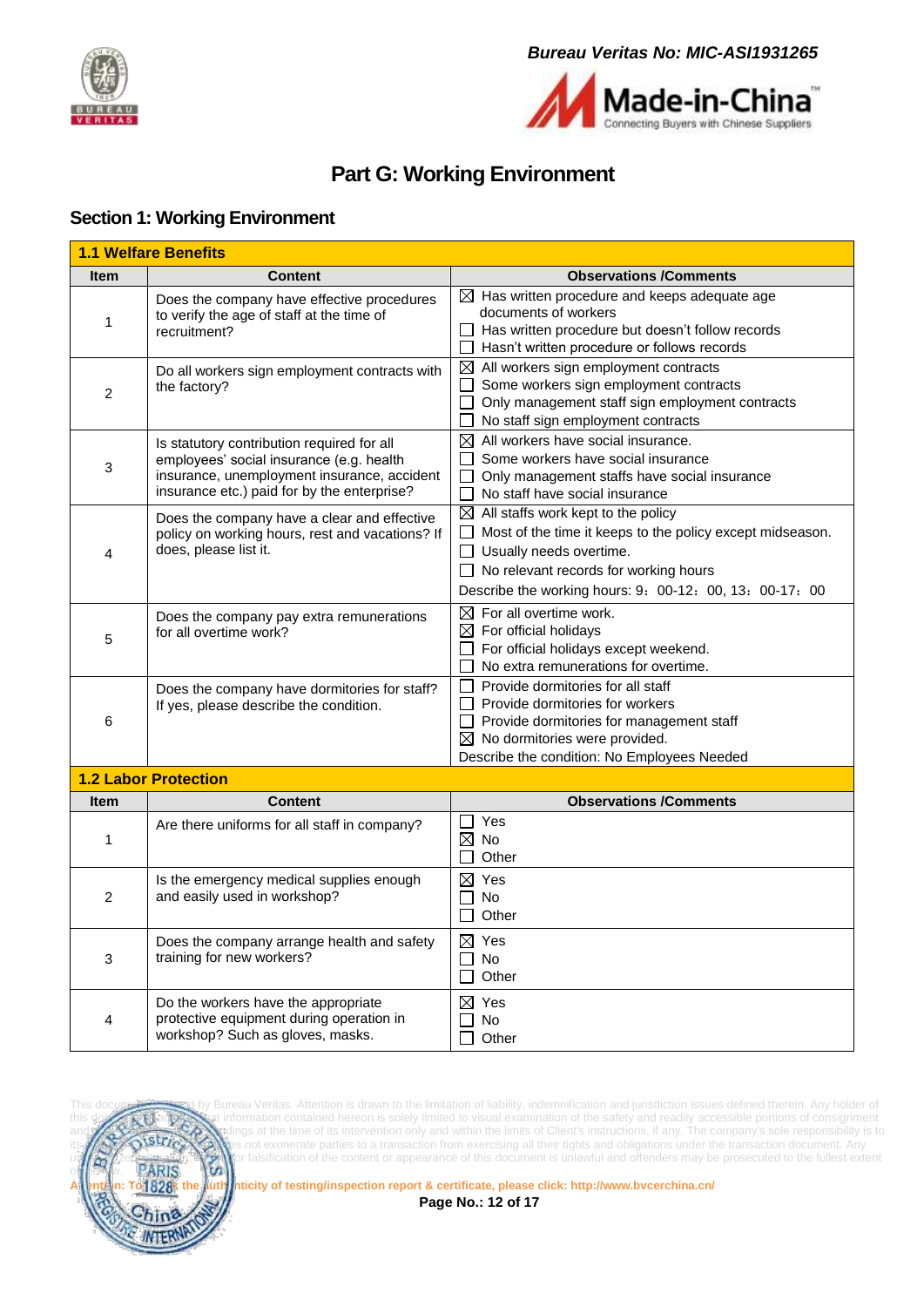



# **Part G: Working Environment**

#### <span id="page-11-1"></span><span id="page-11-0"></span>**Section 1: Working Environment**

|                | <b>1.1 Welfare Benefits</b>                                                                                                                                                          |                                                                                                                                                                                                                                                                 |
|----------------|--------------------------------------------------------------------------------------------------------------------------------------------------------------------------------------|-----------------------------------------------------------------------------------------------------------------------------------------------------------------------------------------------------------------------------------------------------------------|
| <b>Item</b>    | <b>Content</b>                                                                                                                                                                       | <b>Observations /Comments</b>                                                                                                                                                                                                                                   |
| 1              | Does the company have effective procedures<br>to verify the age of staff at the time of<br>recruitment?                                                                              | $\boxtimes$ Has written procedure and keeps adequate age<br>documents of workers<br>Has written procedure but doesn't follow records<br>Hasn't written procedure or follows records                                                                             |
| 2              | Do all workers sign employment contracts with<br>the factory?                                                                                                                        | $\boxtimes$ All workers sign employment contracts<br>Some workers sign employment contracts<br>Only management staff sign employment contracts<br>No staff sign employment contracts                                                                            |
| 3              | Is statutory contribution required for all<br>employees' social insurance (e.g. health<br>insurance, unemployment insurance, accident<br>insurance etc.) paid for by the enterprise? | $\boxtimes$ All workers have social insurance.<br>Some workers have social insurance<br>$\Box$ Only management staffs have social insurance<br>No staff have social insurance                                                                                   |
| 4              | Does the company have a clear and effective<br>policy on working hours, rest and vacations? If<br>does, please list it.                                                              | $\boxtimes$ All staffs work kept to the policy<br>$\Box$ Most of the time it keeps to the policy except midseason.<br>$\Box$ Usually needs overtime.<br>$\Box$ No relevant records for working hours<br>Describe the working hours: 9: 00-12: 00, 13: 00-17: 00 |
| 5              | Does the company pay extra remunerations<br>for all overtime work?                                                                                                                   | $\boxtimes$ For all overtime work.<br>$\boxtimes$ For official holidays<br>$\Box$ For official holidays except weekend.<br>No extra remunerations for overtime.                                                                                                 |
| 6              | Does the company have dormitories for staff?<br>If yes, please describe the condition.                                                                                               | Provide dormitories for all staff<br>Provide dormitories for workers<br>LΙ<br>$\Box$ Provide dormitories for management staff<br>$\boxtimes$ No dormitories were provided.<br>Describe the condition: No Employees Needed                                       |
|                | <b>1.2 Labor Protection</b>                                                                                                                                                          |                                                                                                                                                                                                                                                                 |
| Item           | <b>Content</b>                                                                                                                                                                       | <b>Observations /Comments</b>                                                                                                                                                                                                                                   |
| 1              | Are there uniforms for all staff in company?                                                                                                                                         | □ Yes<br>$\boxtimes$ No<br>Other                                                                                                                                                                                                                                |
| $\overline{2}$ | Is the emergency medical supplies enough<br>and easily used in workshop?                                                                                                             | $\boxtimes$ Yes<br>No<br>$\mathbf{L}$<br>Other                                                                                                                                                                                                                  |
| 3              | Does the company arrange health and safety<br>training for new workers?                                                                                                              | $\boxtimes$ Yes<br><b>No</b><br>Other                                                                                                                                                                                                                           |
| 4              | Do the workers have the appropriate<br>protective equipment during operation in<br>workshop? Such as gloves, masks.                                                                  | $\boxtimes$ Yes<br><b>No</b><br>Other                                                                                                                                                                                                                           |



This document is used by Bureau Veritas. Attention is drawn to the limitation of liability, indemnification and jurisdiction issues defined therein. Any holder of this documents information contained hereon is solely limited to visual examination of the safety and readily accessible portions of consignment and **reflects the Company's sole responsibility is to** and the time of its intervention only and within the limits of Client's instructions, if any. The company's sole responsibility is to istrice Client and this document and this document with the meaning of the transmission condensation document. Any unaution,  $\binom{5}{10}$  or falsification of the content or appearance of this document is unlawful and offenders may be prosecuted to the fullest extent  $\overline{\text{PARIS}}$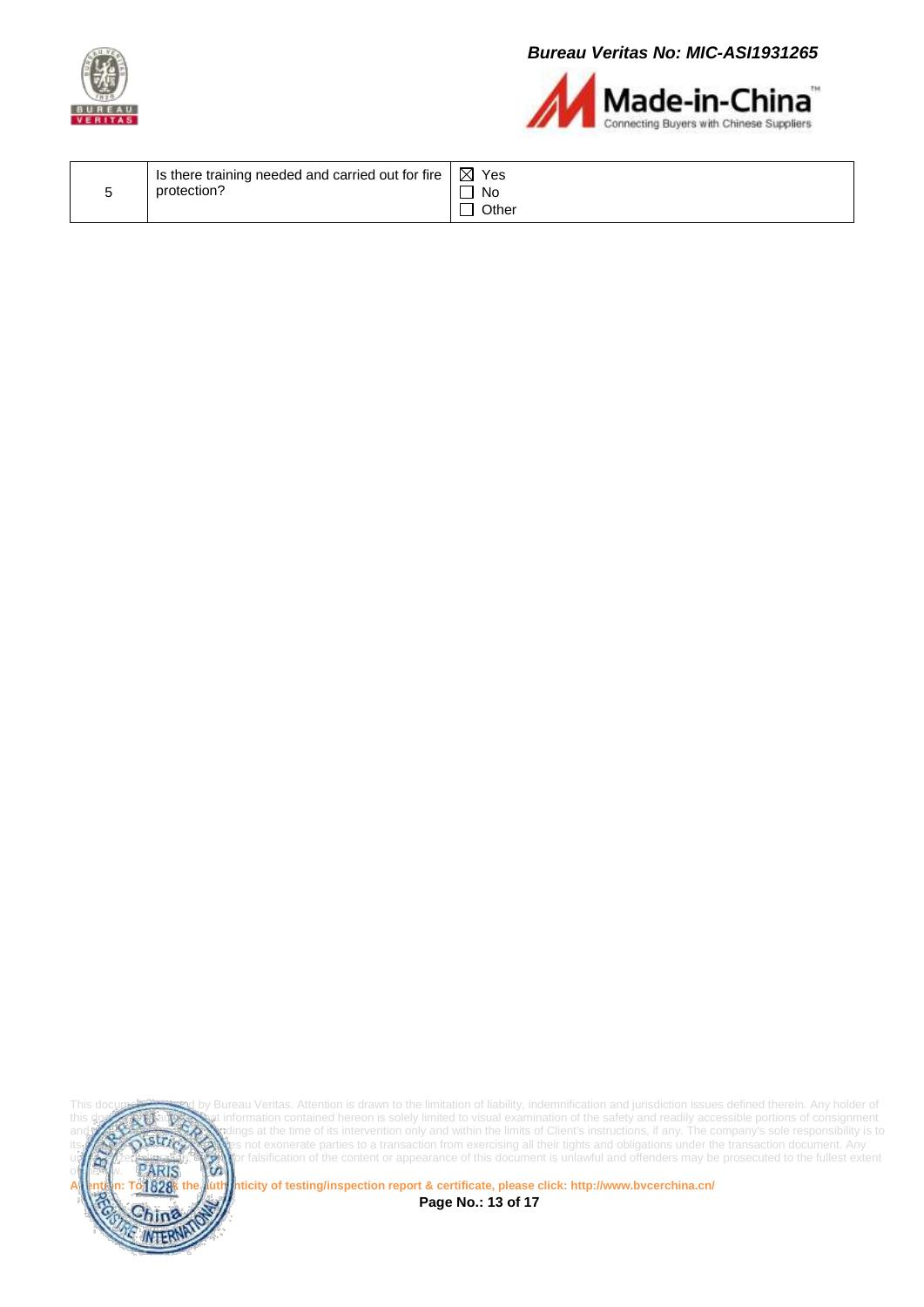



| I Is there training needed and carried out for fire $\vert \boxtimes$ Yes<br>protection?<br>No<br>Other |  |
|---------------------------------------------------------------------------------------------------------|--|
|---------------------------------------------------------------------------------------------------------|--|



This document is document is is in the limitation of liability, indemnification and jurisdiction issues defined therein. Any holder of this document this document is sued under the limited to visual examination of the safe this documents information contained hereon is solely limited to visual examination of the safety and readily accessible portions of consignment and **reflects the Company's sole responsibility is to** and the time of its intervention only and within the limits of Client's instructions, if any. The company's sole responsibility is to its **LAV AND STUGAN** es not exonerate parties to a transaction from exercising all their tights and obligations under the transaction document. Any und a straight the stration, the vior falsification of the content or appearance of this document is unlawful and offenders may be prosecuted to the fullest extent

**A 1828** K the **authenticity of testing/inspection report & certificate, please click[: http://www.bvcerchina.cn/](http://www.bvcerchina.cn/)** 

**Page No.: 13 of 17**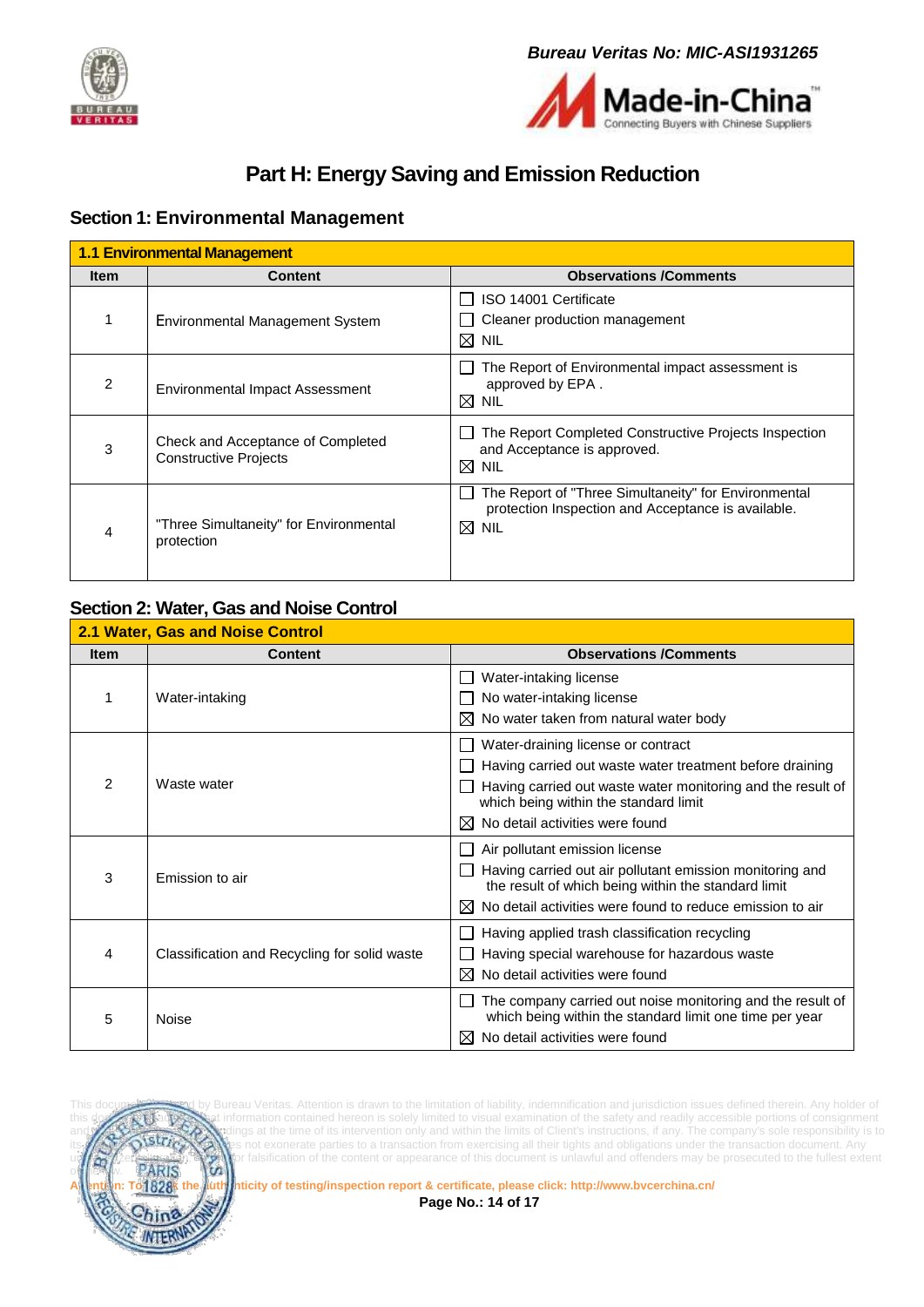



# **Part H: Energy Saving and Emission Reduction**

### <span id="page-13-1"></span><span id="page-13-0"></span>**Section 1: Environmental Management**

| <b>1.1 Environmental Management</b> |                                                                   |                                                                                                                               |  |  |
|-------------------------------------|-------------------------------------------------------------------|-------------------------------------------------------------------------------------------------------------------------------|--|--|
| <b>Item</b>                         | <b>Content</b>                                                    | <b>Observations /Comments</b>                                                                                                 |  |  |
|                                     | Environmental Management System                                   | ISO 14001 Certificate<br>Cleaner production management<br>$\boxtimes$ NIL                                                     |  |  |
| 2                                   | <b>Environmental Impact Assessment</b>                            | The Report of Environmental impact assessment is<br>approved by EPA.<br>$\boxtimes$ NIL                                       |  |  |
| 3                                   | Check and Acceptance of Completed<br><b>Constructive Projects</b> | The Report Completed Constructive Projects Inspection<br>and Acceptance is approved.<br>$\boxtimes$ NIL                       |  |  |
| 4                                   | "Three Simultaneity" for Environmental<br>protection              | The Report of "Three Simultaneity" for Environmental<br>protection Inspection and Acceptance is available.<br>$\boxtimes$ Nil |  |  |

#### <span id="page-13-2"></span>**Section 2: Water, Gas and Noise Control**

| <b>2.1 Water, Gas and Noise Control</b> |                                              |                                                                                                                                                                                                                                                |  |  |
|-----------------------------------------|----------------------------------------------|------------------------------------------------------------------------------------------------------------------------------------------------------------------------------------------------------------------------------------------------|--|--|
| <b>Item</b>                             | <b>Content</b>                               | <b>Observations /Comments</b>                                                                                                                                                                                                                  |  |  |
|                                         | Water-intaking                               | Water-intaking license<br>No water-intaking license<br>No water taken from natural water body<br>$\bowtie$                                                                                                                                     |  |  |
| $\mathcal{P}$                           | Waste water                                  | Water-draining license or contract<br>Having carried out waste water treatment before draining<br>Having carried out waste water monitoring and the result of<br>which being within the standard limit<br>No detail activities were found<br>⊠ |  |  |
| 3                                       | Emission to air                              | Air pollutant emission license<br>Having carried out air pollutant emission monitoring and<br>the result of which being within the standard limit<br>No detail activities were found to reduce emission to air<br>ΙX                           |  |  |
| 4                                       | Classification and Recycling for solid waste | Having applied trash classification recycling<br>Having special warehouse for hazardous waste<br>No detail activities were found<br>M                                                                                                          |  |  |
| 5                                       | Noise                                        | The company carried out noise monitoring and the result of<br>which being within the standard limit one time per year<br>No detail activities were found<br>ΙX                                                                                 |  |  |



Bureau Veritas. Attention is drawn to the limitation of liability, indemnification and jurisdiction issues defined therein. Any holder of this document is advised that information contained hereon is solely limited to visual examination of the safety and readily accessible portions of consignment and reflects the time of its intervention only and within the limits of Client's instructions, if any. The company's sole responsibility is to **strick the structions** of exemples the transaction document. Any not exonerate parties to a transaction from exercising all their tights and obligations under the transaction document. Any unauthorized alteration of the content or appearance of this document is unlawful and offenders may be prosecuted to the fullest extent<br>**PARIS** 

**Attention: To check the authenticity of testing/inspection report & certificate, please click[: http://www.bvcerchina.cn/](http://www.bvcerchina.cn/) Page No.: 14 of 17**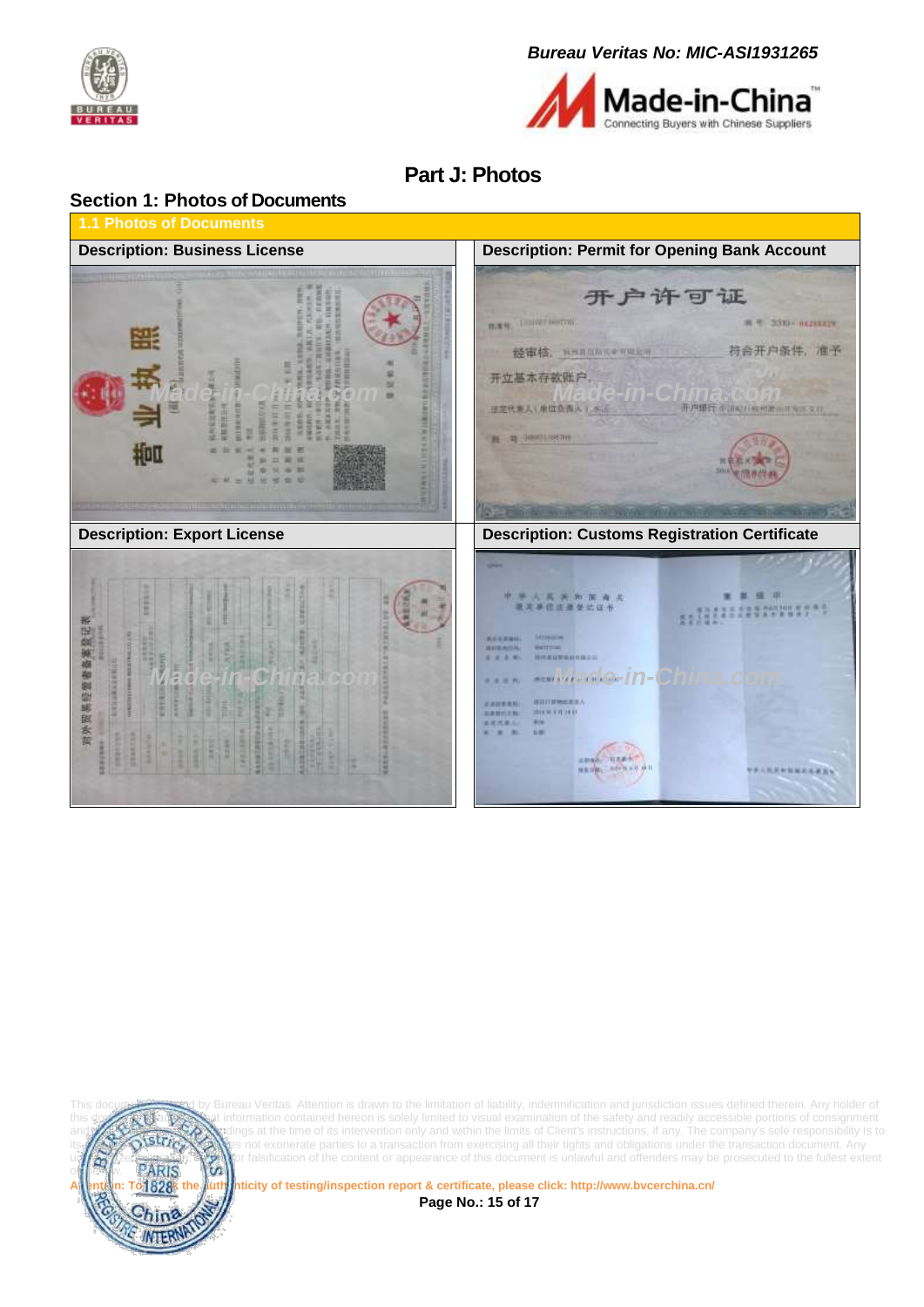



# **Part J: Photos**

<span id="page-14-1"></span><span id="page-14-0"></span>



Bureau Veritas. Attention is drawn to the limitation of liability, indemnification and jurisdiction issues defined therein. Any holder of this document is advised that information contained hereon is solely limited to visual examination of the safety and readily accessible portions of consignment and reflects the time of its intervention only and within the limits of Client's instructions, if any. The company's sole responsibility is to a transaction from exercising all their tights and obligations under the transa not exonerate parties to a transaction from exercising all their tights and obligations under the transaction document. Any undergridn;  $\frac{1}{10}$  or falsification of the content or appearance of this document is unlawful and offenders may be prosecuted to the fullest extent<br>PARIS

**Attention: To check the authenticity of testing/inspection report & certificate, please click[: http://www.bvcerchina.cn/](http://www.bvcerchina.cn/)**

**Page No.: 15 of 17**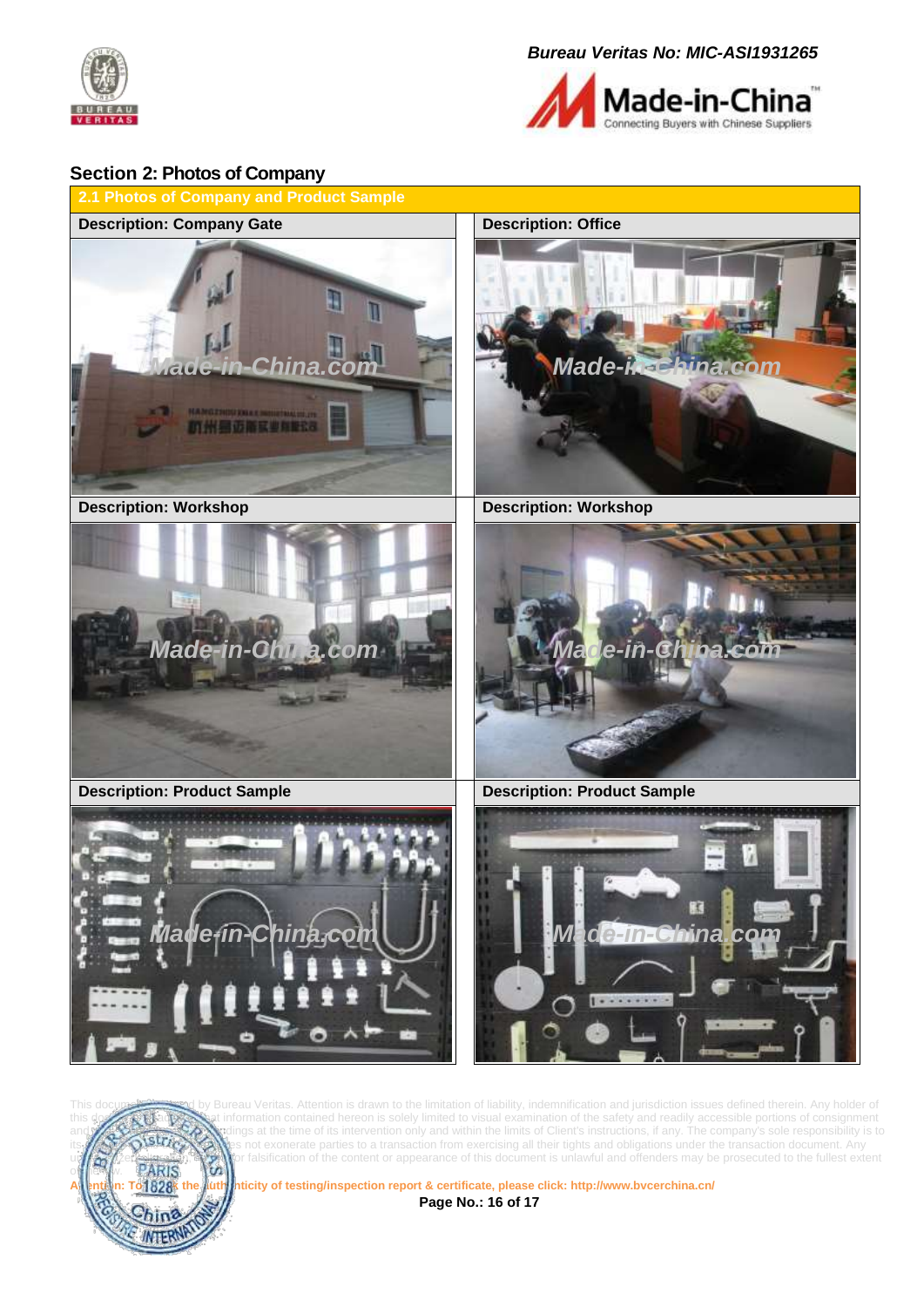



#### <span id="page-15-0"></span>**Section 2: Photos of Company**





Bureau Veritas. Attention is drawn to the limitation of liability, indemnification and jurisdiction issues defined therein. Any holder of the document information contained hereon is solely limited to visual examination of the safety and readily accessible portions of consignment **AN** indings at the time of its intervention only and within the limits of Client's instructions, if any. The company's sole responsibility is to **intervention** only and within the limits of Client's instructions, if any. not exonerate parties to a transaction from exercising all their tights and obligations under the transaction document. Any unaution,  $\binom{5}{10}$  or falsification of the content or appearance of this document is unlawful and offenders may be prosecuted to the fullest extent  $\overline{\text{PARIS}}$ 

**Attention: To check the authenticity of testing/inspection report & certificate, please click[: http://www.bvcerchina.cn/](http://www.bvcerchina.cn/) Page No.: 16 of 17**